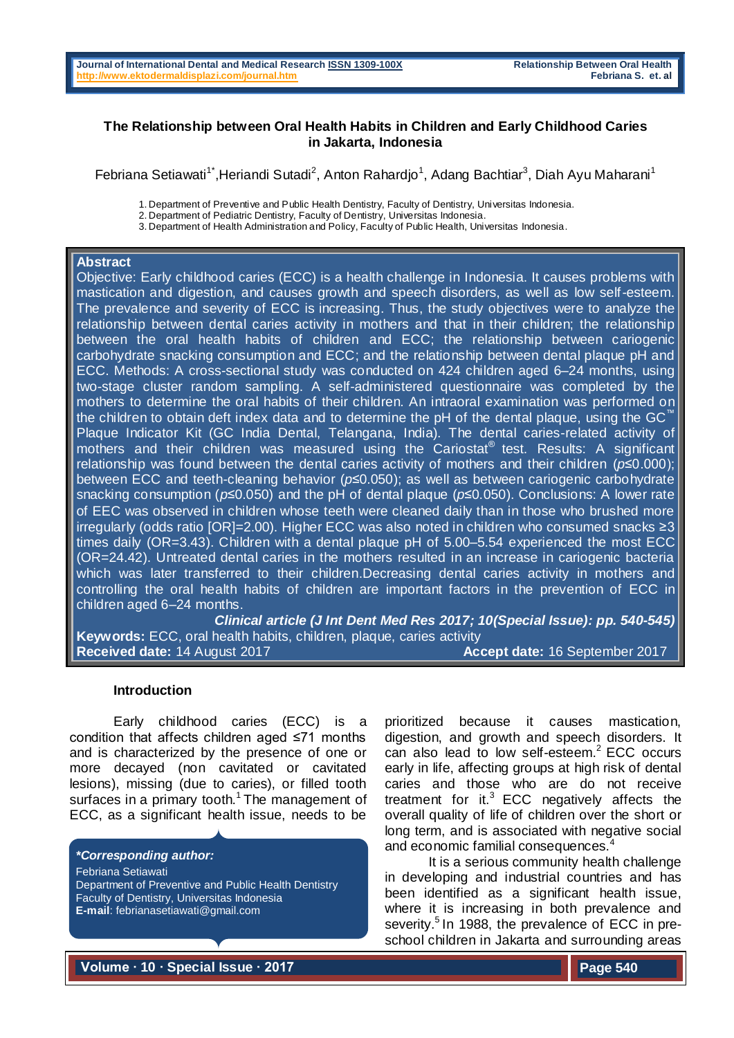## **The Relationship between Oral Health Habits in Children and Early Childhood Caries in Jakarta, Indonesia**

Febriana Setiawati<sup>1\*</sup>,Heriandi Sutadi<sup>2</sup>, Anton Rahardjo<sup>1</sup>, Adang Bachtiar<sup>3</sup>, Diah Ayu Maharani<sup>1</sup>

1. Department of Preventive and Public Health Dentistry, Faculty of Dentistry, Universitas Indonesia.

3. Department of Health Administration and Policy, Faculty of Public Health, Universitas Indonesia.

### **Abstract**

Objective: Early childhood caries (ECC) is a health challenge in Indonesia. It causes problems with mastication and digestion, and causes growth and speech disorders, as well as low self-esteem. The prevalence and severity of ECC is increasing. Thus, the study objectives were to analyze the relationship between dental caries activity in mothers and that in their children; the relationship between the oral health habits of children and ECC; the relationship between cariogenic carbohydrate snacking consumption and ECC; and the relationship between dental plaque pH and ECC. Methods: A cross-sectional study was conducted on 424 children aged 6–24 months, using two-stage cluster random sampling. A self-administered questionnaire was completed by the mothers to determine the oral habits of their children. An intraoral examination was performed on the children to obtain deft index data and to determine the pH of the dental plaque, using the GC $^"$ Plaque Indicator Kit (GC India Dental, Telangana, India). The dental caries-related activity of mothers and their children was measured using the Cariostat® test. Results: A significant relationship was found between the dental caries activity of mothers and their children (*p*≤0.000); between ECC and teeth-cleaning behavior (*p*≤0.050); as well as between cariogenic carbohydrate snacking consumption (*p*≤0.050) and the pH of dental plaque (*p*≤0.050). Conclusions: A lower rate of EEC was observed in children whose teeth were cleaned daily than in those who brushed more irregularly (odds ratio [OR]=2.00). Higher ECC was also noted in children who consumed snacks ≥3 times daily (OR=3.43). Children with a dental plaque pH of 5.00–5.54 experienced the most ECC (OR=24.42). Untreated dental caries in the mothers resulted in an increase in cariogenic bacteria which was later transferred to their children.Decreasing dental caries activity in mothers and controlling the oral health habits of children are important factors in the prevention of ECC in children aged 6–24 months.

*Clinical article (J Int Dent Med Res 2017; 10(Special Issue): pp. 540-545)*  **Keywords:** ECC, oral health habits, children, plaque, caries activity **Received date:** 14 August 2017 **Accept date:** 16 September 2017

## **Introduction**

Early childhood caries (ECC) is a condition that affects children aged ≤71 months and is characterized by the presence of one or more decayed (non cavitated or cavitated lesions), missing (due to caries), or filled tooth surfaces in a primary tooth.<sup>1</sup> The management of ECC, as a significant health issue, needs to be

#### *\*Corresponding author:*

Febriana Setiawati Department of Preventive and Public Health Dentistry Faculty of Dentistry, Universitas Indonesia **E-mail**: [febrianasetiawati@gmail.com](mailto:febrianasetiawati@gmail.com)

prioritized because it causes mastication, digestion, and growth and speech disorders. It can also lead to low self-esteem.<sup>2</sup> ECC occurs early in life, affecting groups at high risk of dental caries and those who are do not receive treatment for it. $3$  ECC negatively affects the overall quality of life of children over the short or long term, and is associated with negative social and economic familial consequences.

It is a serious community health challenge in developing and industrial countries and has been identified as a significant health issue, where it is increasing in both prevalence and severity.<sup>5</sup> In 1988, the prevalence of ECC in preschool children in Jakarta and surrounding areas

**Volume ∙ 10 ∙ Special Issue ∙ 2017** 

<sup>2.</sup> Department of Pediatric Dentistry, Faculty of Dentistry, Universitas Indonesia.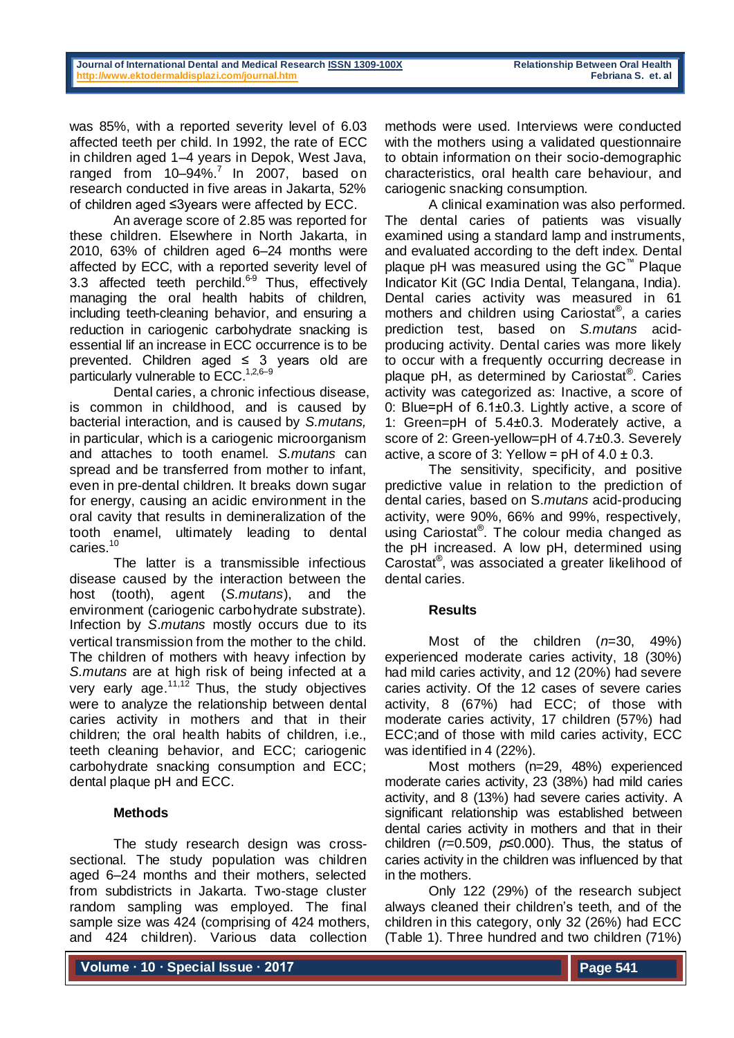was 85%, with a reported severity level of 6.03 affected teeth per child. In 1992, the rate of ECC in children aged 1–4 years in Depok, West Java, ranged from  $10-94\%$ .<sup>7</sup> In 2007, based on research conducted in five areas in Jakarta, 52% of children aged ≤3years were affected by ECC.

An average score of 2.85 was reported for these children. Elsewhere in North Jakarta, in 2010, 63% of children aged 6–24 months were affected by ECC, with a reported severity level of 3.3 affected teeth perchild.<sup>6-9</sup> Thus, effectively managing the oral health habits of children, including teeth-cleaning behavior, and ensuring a reduction in cariogenic carbohydrate snacking is essential lif an increase in ECC occurrence is to be prevented. Children aged  $\leq$  3 years old are particularly vulnerable to ECC.<sup>1,2,6-9</sup>

Dental caries, a chronic infectious disease, is common in childhood, and is caused by bacterial interaction, and is caused by *S.mutans,*  in particular, which is a cariogenic microorganism and attaches to tooth enamel. *S.mutans* can spread and be transferred from mother to infant, even in pre-dental children. It breaks down sugar for energy, causing an acidic environment in the oral cavity that results in demineralization of the tooth enamel, ultimately leading to dental caries.<sup>10</sup>

The latter is a transmissible infectious disease caused by the interaction between the host (tooth), agent (*S.mutans*), and the environment (cariogenic carbohydrate substrate). Infection by *S*.*mutans* mostly occurs due to its vertical transmission from the mother to the child. The children of mothers with heavy infection by *S.mutans* are at high risk of being infected at a very early age. $11,12$  Thus, the study objectives were to analyze the relationship between dental caries activity in mothers and that in their children; the oral health habits of children, i.e., teeth cleaning behavior, and ECC; cariogenic carbohydrate snacking consumption and ECC; dental plaque pH and ECC.

# **Methods**

The study research design was crosssectional. The study population was children aged 6–24 months and their mothers, selected from subdistricts in Jakarta. Two-stage cluster random sampling was employed. The final sample size was 424 (comprising of 424 mothers, and 424 children). Various data collection

methods were used. Interviews were conducted with the mothers using a validated questionnaire to obtain information on their socio-demographic characteristics, oral health care behaviour, and cariogenic snacking consumption.

A clinical examination was also performed. The dental caries of patients was visually examined using a standard lamp and instruments, and evaluated according to the deft index. Dental plaque pH was measured using the GC™ Plaque Indicator Kit (GC India Dental, Telangana, India). Dental caries activity was measured in 61 mothers and children using Cariostat® , a caries prediction test, based on *S.mutans* acidproducing activity. Dental caries was more likely to occur with a frequently occurring decrease in plaque pH, as determined by Cariostat®. Caries activity was categorized as: Inactive, a score of 0: Blue=pH of 6.1±0.3. Lightly active, a score of 1: Green=pH of 5.4±0.3. Moderately active, a score of 2: Green-yellow=pH of 4.7±0.3. Severely active, a score of 3: Yellow =  $pH$  of  $4.0 \pm 0.3$ .

The sensitivity, specificity, and positive predictive value in relation to the prediction of dental caries, based on S.*mutans* acid-producing activity, were 90%, 66% and 99%, respectively, using Cariostat® . The colour media changed as the pH increased. A low pH, determined using Carostat® , was associated a greater likelihood of dental caries.

## **Results**

Most of the children (*n*=30, 49%) experienced moderate caries activity, 18 (30%) had mild caries activity, and 12 (20%) had severe caries activity. Of the 12 cases of severe caries activity, 8 (67%) had ECC; of those with moderate caries activity, 17 children (57%) had ECC;and of those with mild caries activity, ECC was identified in 4 (22%).

Most mothers (n=29, 48%) experienced moderate caries activity, 23 (38%) had mild caries activity, and 8 (13%) had severe caries activity. A significant relationship was established between dental caries activity in mothers and that in their children (*r*=0.509, *p*≤0.000). Thus, the status of caries activity in the children was influenced by that in the mothers.

Only 122 (29%) of the research subject always cleaned their children's teeth, and of the children in this category, only 32 (26%) had ECC (Table 1). Three hundred and two children (71%)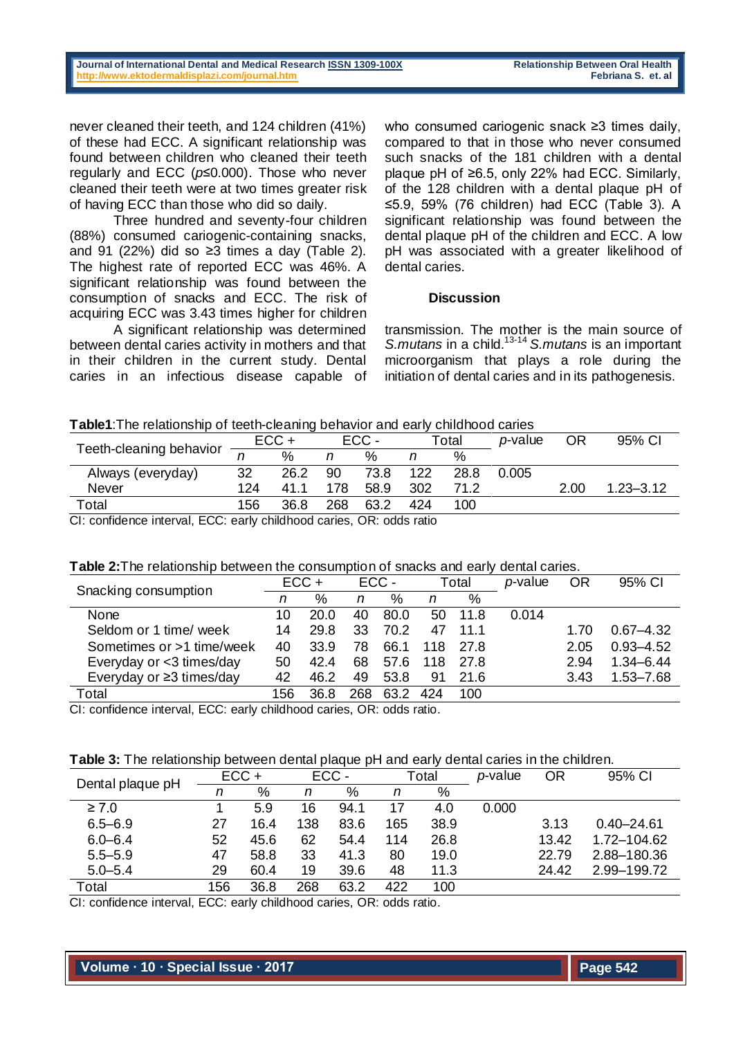never cleaned their teeth, and 124 children (41%) of these had ECC. A significant relationship was found between children who cleaned their teeth regularly and ECC (*p*≤0.000). Those who never cleaned their teeth were at two times greater risk of having ECC than those who did so daily.

Three hundred and seventy-four children (88%) consumed cariogenic-containing snacks, and 91 (22%) did so ≥3 times a day (Table 2). The highest rate of reported ECC was 46%. A significant relationship was found between the consumption of snacks and ECC. The risk of acquiring ECC was 3.43 times higher for children

A significant relationship was determined between dental caries activity in mothers and that in their children in the current study. Dental caries in an infectious disease capable of

who consumed cariogenic snack ≥3 times daily, compared to that in those who never consumed such snacks of the 181 children with a dental plaque pH of ≥6.5, only 22% had ECC. Similarly, of the 128 children with a dental plaque pH of ≤5.9, 59% (76 children) had ECC (Table 3). A significant relationship was found between the dental plaque pH of the children and ECC. A low pH was associated with a greater likelihood of dental caries.

### **Discussion**

transmission. The mother is the main source of *S.mutans* in a child. 13-14 *S.mutans* is an important microorganism that plays a role during the initiation of dental caries and in its pathogenesis.

## **Table1**:The relationship of teeth-cleaning behavior and early childhood caries

| Teeth-cleaning behavior | $ECC +$ |      | ECC- |      | $\tau$ otal |      | <i>p</i> -value | <b>OR</b> | 95% CI        |
|-------------------------|---------|------|------|------|-------------|------|-----------------|-----------|---------------|
|                         |         | %    | n    | %    | n           | %    |                 |           |               |
| Always (everyday)       | 32      | 26.2 | 90   | 73.8 | 122         | 28.8 | 0.005           |           |               |
| <b>Never</b>            | 124     | 41.1 | 178  | 58.9 | 302         | 71.2 |                 | 2.00      | $1.23 - 3.12$ |
| Total                   | 156     | 36.8 | 268  | 63.2 | 424         | 100  |                 |           |               |

CI: confidence interval, ECC: early childhood caries, OR: odds ratio

# **Table 2:**The relationship between the consumption of snacks and early dental caries.

|                                                                             | $ECC +$ |      | ECC- |      | Total |      | <i>p</i> -value | <b>OR</b> | 95% CI        |
|-----------------------------------------------------------------------------|---------|------|------|------|-------|------|-----------------|-----------|---------------|
| Snacking consumption                                                        | n       | %    | n    | %    | n     | %    |                 |           |               |
| None                                                                        | 10      | 20.0 | 40   | 80.0 | 50    | 11.8 | 0.014           |           |               |
| Seldom or 1 time/ week                                                      | 14      | 29.8 | 33   | 70.2 |       | 11.1 |                 | 1.70      | $0.67 - 4.32$ |
| Sometimes or >1 time/week                                                   | 40      | 33.9 | 78   | 66.1 | 118   | 27.8 |                 | 2.05      | $0.93 - 4.52$ |
| Everyday or <3 times/day                                                    | 50      | 42.4 | 68   | 57.6 | 118   | 27.8 |                 | 2.94      | $1,34 - 6,44$ |
| Everyday or $\geq$ 3 times/day                                              | 42      | 46.2 | 49   | 53.8 | 91    | 21.6 |                 | 3.43      | 1.53-7.68     |
| Total                                                                       | 156     | 36.8 | 268  | 63.2 | 424   | 100  |                 |           |               |
| Observative and integral. FOO: seals abilities and seals a OD: salde astis- |         |      |      |      |       |      |                 |           |               |

CI: confidence interval, ECC: early childhood caries, OR: odds ratio.

# **Table 3:** The relationship between dental plaque pH and early dental caries in the children.

| Dental plaque pH | $ECC +$ |      | ECC- |      | Total |      | <i>p</i> -value | OR    | 95% CI         |
|------------------|---------|------|------|------|-------|------|-----------------|-------|----------------|
|                  | n       | %    | n    | %    | n     | $\%$ |                 |       |                |
| $\geq 7.0$       |         | 5.9  | 16   | 94.1 | 17    | 4.0  | 0.000           |       |                |
| $6.5 - 6.9$      | 27      | 16.4 | 138  | 83.6 | 165   | 38.9 |                 | 3.13  | $0.40 - 24.61$ |
| $6.0 - 6.4$      | 52      | 45.6 | 62   | 54.4 | 114   | 26.8 |                 | 13.42 | 1.72-104.62    |
| $5.5 - 5.9$      | 47      | 58.8 | 33   | 41.3 | 80    | 19.0 |                 | 22.79 | 2.88-180.36    |
| $5.0 - 5.4$      | 29      | 60.4 | 19   | 39.6 | 48    | 11.3 |                 | 24.42 | 2.99-199.72    |
| Total            | 156     | 36.8 | 268  | 63.2 | 422   | 100  |                 |       |                |

CI: confidence interval, ECC: early childhood caries, OR: odds ratio.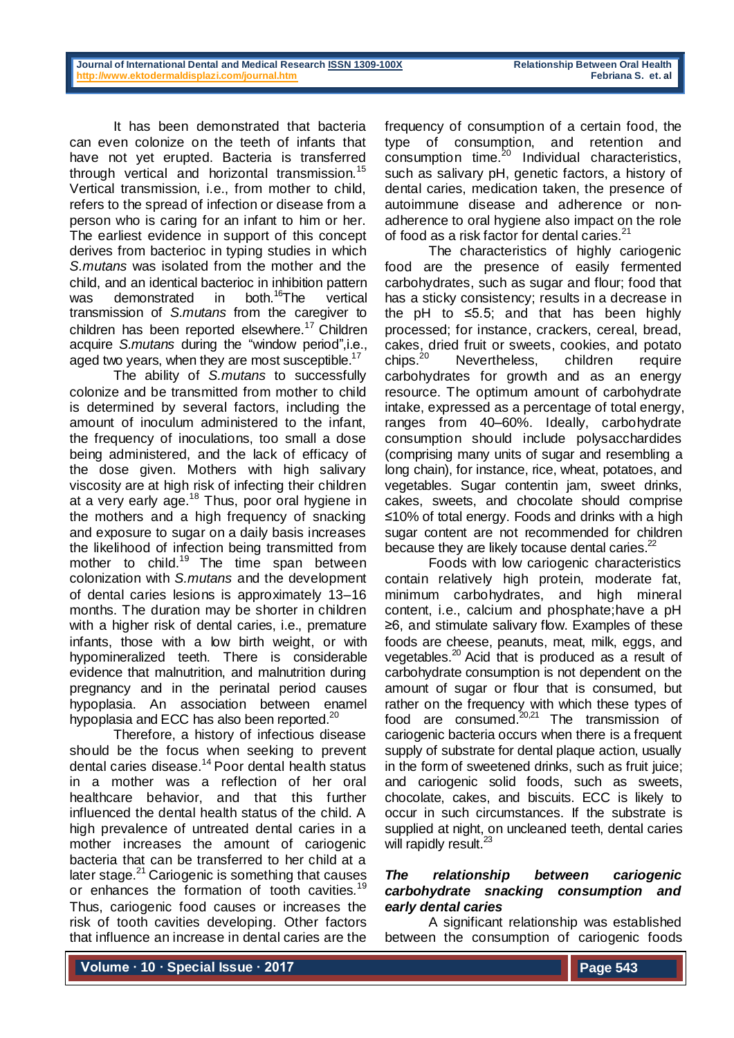It has been demonstrated that bacteria can even colonize on the teeth of infants that have not yet erupted. Bacteria is transferred through vertical and horizontal transmission.<sup>15</sup> Vertical transmission, i.e., from mother to child, refers to the spread of infection or disease from a person who is caring for an infant to him or her. The earliest evidence in support of this concept derives from bacterioc in typing studies in which *S.mutans* was isolated from the mother and the child, and an identical bacterioc in inhibition pattern was demonstrated in both.<sup>16</sup>The vertical transmission of *S.mutans* from the caregiver to children has been reported elsewhere.<sup>17</sup> Children acquire *S.mutans* during the "window period",i.e., aged two years, when they are most susceptible.<sup>17</sup>

The ability of *S.mutans* to successfully colonize and be transmitted from mother to child is determined by several factors, including the amount of inoculum administered to the infant, the frequency of inoculations, too small a dose being administered, and the lack of efficacy of the dose given. Mothers with high salivary viscosity are at high risk of infecting their children at a very early age.<sup>18</sup> Thus, poor oral hygiene in the mothers and a high frequency of snacking and exposure to sugar on a daily basis increases the likelihood of infection being transmitted from mother to child.<sup>19</sup> The time span between colonization with *S.mutans* and the development of dental caries lesions is approximately 13–16 months. The duration may be shorter in children with a higher risk of dental caries, i.e., premature infants, those with a low birth weight, or with hypomineralized teeth. There is considerable evidence that malnutrition, and malnutrition during pregnancy and in the perinatal period causes hypoplasia. An association between enamel hypoplasia and ECC has also been reported.<sup>20</sup>

Therefore, a history of infectious disease should be the focus when seeking to prevent dental caries disease. <sup>14</sup> Poor dental health status in a mother was a reflection of her oral healthcare behavior, and that this further influenced the dental health status of the child. A high prevalence of untreated dental caries in a mother increases the amount of cariogenic bacteria that can be transferred to her child at a later stage.<sup>21</sup> Cariogenic is something that causes or enhances the formation of tooth cavities*.* 19 Thus, cariogenic food causes or increases the risk of tooth cavities developing. Other factors that influence an increase in dental caries are the

frequency of consumption of a certain food, the type of consumption, and retention and  $\frac{1}{2}$  consumption time.<sup>20</sup> Individual characteristics, such as salivary pH, genetic factors, a history of dental caries, medication taken, the presence of autoimmune disease and adherence or nonadherence to oral hygiene also impact on the role of food as a risk factor for dental caries.<sup>21</sup>

The characteristics of highly cariogenic food are the presence of easily fermented carbohydrates, such as sugar and flour; food that has a sticky consistency; results in a decrease in the pH to  $\leq 5.5$ ; and that has been highly processed; for instance, crackers, cereal, bread, cakes, dried fruit or sweets, cookies, and potato  $chips.<sup>20</sup>$ Nevertheless, children require carbohydrates for growth and as an energy resource. The optimum amount of carbohydrate intake, expressed as a percentage of total energy, ranges from 40–60%. Ideally, carbohydrate consumption should include polysacchardides (comprising many units of sugar and resembling a long chain), for instance, rice, wheat, potatoes, and vegetables. Sugar contentin jam, sweet drinks, cakes, sweets, and chocolate should comprise ≤10% of total energy. Foods and drinks with a high sugar content are not recommended for children because they are likely tocause dental caries. $^{22}$ 

Foods with low cariogenic characteristics contain relatively high protein, moderate fat, minimum carbohydrates, and high mineral content, i.e., calcium and phosphate;have a pH ≥6, and stimulate salivary flow. Examples of these foods are cheese, peanuts, meat, milk, eggs, and vegetables.<sup>20</sup> Acid that is produced as a result of carbohydrate consumption is not dependent on the amount of sugar or flour that is consumed, but rather on the frequency with which these types of food are consumed.<sup>20,21</sup> The transmission of cariogenic bacteria occurs when there is a frequent supply of substrate for dental plaque action, usually in the form of sweetened drinks, such as fruit juice; and cariogenic solid foods, such as sweets, chocolate, cakes, and biscuits. ECC is likely to occur in such circumstances. If the substrate is supplied at night, on uncleaned teeth, dental caries will rapidly result.<sup>23</sup>

# *The relationship between cariogenic carbohydrate snacking consumption and early dental caries*

A significant relationship was established between the consumption of cariogenic foods

**Volume ∙ 10 ∙ Special Issue ∙ 2017**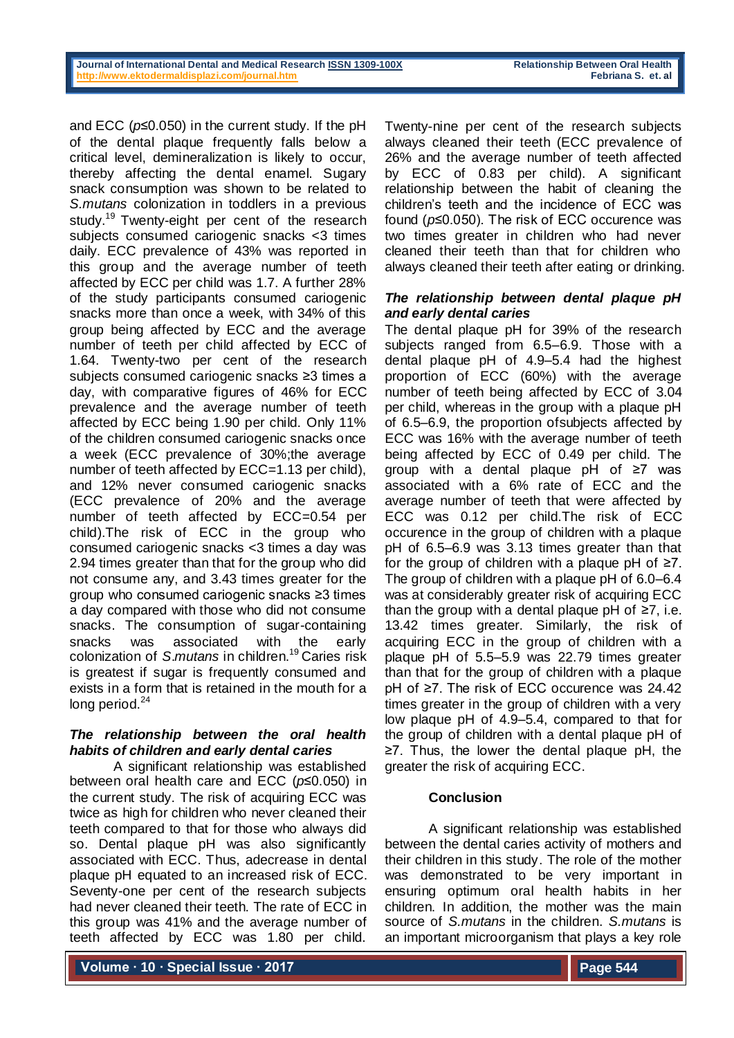#### **Journal of International Dental and Medical Research [ISSN 1309-100X](http://www.ektodermaldisplazi.com/dergi.htm) Relationship Between Oral Health <http://www.ektodermaldisplazi.com/journal.htm>Febriana S. et. al**

and ECC (*p*≤0.050) in the current study. If the pH of the dental plaque frequently falls below a critical level, demineralization is likely to occur, thereby affecting the dental enamel. Sugary snack consumption was shown to be related to *S.mutans* colonization in toddlers in a previous study.<sup>19</sup> Twenty-eight per cent of the research subjects consumed cariogenic snacks <3 times daily. ECC prevalence of 43% was reported in this group and the average number of teeth affected by ECC per child was 1.7. A further 28% of the study participants consumed cariogenic snacks more than once a week, with 34% of this group being affected by ECC and the average number of teeth per child affected by ECC of 1.64. Twenty-two per cent of the research subjects consumed cariogenic snacks ≥3 times a day, with comparative figures of 46% for ECC prevalence and the average number of teeth affected by ECC being 1.90 per child. Only 11% of the children consumed cariogenic snacks once a week (ECC prevalence of 30%;the average number of teeth affected by ECC=1.13 per child), and 12% never consumed cariogenic snacks (ECC prevalence of 20% and the average number of teeth affected by ECC=0.54 per child).The risk of ECC in the group who consumed cariogenic snacks <3 times a day was 2.94 times greater than that for the group who did not consume any, and 3.43 times greater for the group who consumed cariogenic snacks ≥3 times a day compared with those who did not consume snacks. The consumption of sugar-containing snacks was associated with the early colonization of *S*.*mutans* in children. <sup>19</sup> Caries risk is greatest if sugar is frequently consumed and exists in a form that is retained in the mouth for a long period. $24$ 

## *The relationship between the oral health habits of children and early dental caries*

A significant relationship was established between oral health care and ECC (*p*≤0.050) in the current study. The risk of acquiring ECC was twice as high for children who never cleaned their teeth compared to that for those who always did so. Dental plaque pH was also significantly associated with ECC. Thus, adecrease in dental plaque pH equated to an increased risk of ECC. Seventy-one per cent of the research subjects had never cleaned their teeth. The rate of ECC in this group was 41% and the average number of teeth affected by ECC was 1.80 per child.

Twenty-nine per cent of the research subjects always cleaned their teeth (ECC prevalence of 26% and the average number of teeth affected by ECC of 0.83 per child). A significant relationship between the habit of cleaning the children's teeth and the incidence of ECC was found (*p*≤0.050). The risk of ECC occurence was two times greater in children who had never cleaned their teeth than that for children who always cleaned their teeth after eating or drinking.

## *The relationship between dental plaque pH and early dental caries*

The dental plaque pH for 39% of the research subjects ranged from 6.5–6.9. Those with a dental plaque pH of 4.9–5.4 had the highest proportion of ECC (60%) with the average number of teeth being affected by ECC of 3.04 per child, whereas in the group with a plaque pH of 6.5–6.9, the proportion ofsubjects affected by ECC was 16% with the average number of teeth being affected by ECC of 0.49 per child. The group with a dental plaque pH of ≥7 was associated with a 6% rate of ECC and the average number of teeth that were affected by ECC was 0.12 per child.The risk of ECC occurence in the group of children with a plaque pH of 6.5–6.9 was 3.13 times greater than that for the group of children with a plaque pH of  $\geq 7$ . The group of children with a plaque pH of 6.0–6.4 was at considerably greater risk of acquiring ECC than the group with a dental plaque pH of ≥7, i.e. 13.42 times greater. Similarly, the risk of acquiring ECC in the group of children with a plaque pH of 5.5–5.9 was 22.79 times greater than that for the group of children with a plaque pH of ≥7. The risk of ECC occurence was 24.42 times greater in the group of children with a very low plaque pH of 4.9–5.4, compared to that for the group of children with a dental plaque pH of ≥7. Thus, the lower the dental plaque pH, the greater the risk of acquiring ECC.

## **Conclusion**

A significant relationship was established between the dental caries activity of mothers and their children in this study. The role of the mother was demonstrated to be very important in ensuring optimum oral health habits in her children. In addition, the mother was the main source of *S.mutans* in the children. *S.mutans* is an important microorganism that plays a key role

**Volume ∙ 10 ∙ Special Issue ∙ 2017**